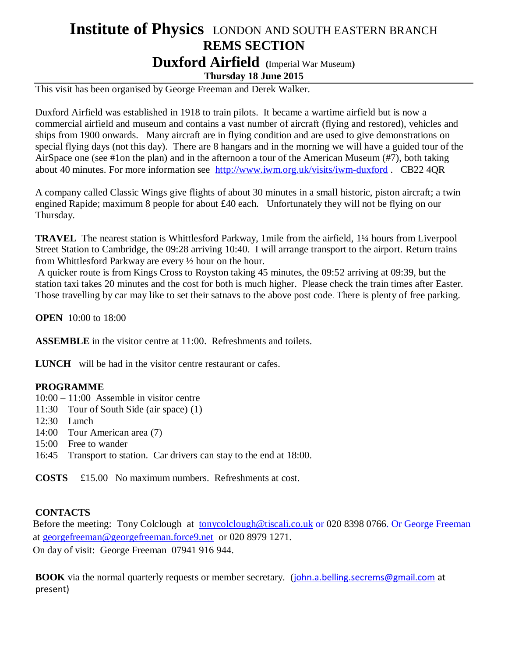## **Institute of Physics** LONDON AND SOUTH EASTERN BRANCH **REMS SECTION Duxford Airfield (**Imperial War Museum**)**

**Thursday 18 June 2015**

This visit has been organised by George Freeman and Derek Walker.

Duxford Airfield was established in 1918 to train pilots. It became a wartime airfield but is now a commercial airfield and museum and contains a vast number of aircraft (flying and restored), vehicles and ships from 1900 onwards. Many aircraft are in flying condition and are used to give demonstrations on special flying days (not this day). There are 8 hangars and in the morning we will have a guided tour of the AirSpace one (see #1on the plan) and in the afternoon a tour of the American Museum (#7), both taking about 40 minutes. For more information see <http://www.iwm.org.uk/visits/iwm-duxford> . CB22 4QR

A company called Classic Wings give flights of about 30 minutes in a small historic, piston aircraft; a twin engined Rapide; maximum 8 people for about £40 each. Unfortunately they will not be flying on our Thursday.

**TRAVEL** The nearest station is Whittlesford Parkway, 1 mile from the airfield, 1<sup>1</sup>/4 hours from Liverpool Street Station to Cambridge, the 09:28 arriving 10:40. I will arrange transport to the airport. Return trains from Whittlesford Parkway are every ½ hour on the hour.

A quicker route is from Kings Cross to Royston taking 45 minutes, the 09:52 arriving at 09:39, but the station taxi takes 20 minutes and the cost for both is much higher. Please check the train times after Easter. Those travelling by car may like to set their satnavs to the above post code. There is plenty of free parking.

**OPEN** 10:00 to 18:00

**ASSEMBLE** in the visitor centre at 11:00. Refreshments and toilets.

**LUNCH** will be had in the visitor centre restaurant or cafes.

## **PROGRAMME**

10:00 – 11:00 Assemble in visitor centre

- 11:30 Tour of South Side (air space) (1)
- 12:30 Lunch
- 14:00 Tour American area (7)
- 15:00 Free to wander
- 16:45 Transport to station. Car drivers can stay to the end at 18:00.

**COSTS** £15.00 No maximum numbers. Refreshments at cost.

## **CONTACTS**

Before the meeting: Tony Colclough at [tonycolclough@tiscali.co.uk](mailto:tonycolclough@tiscali.co.uk) or 020 8398 0766. Or George Freeman at [georgefreeman@georgefreeman.force9.net](mailto:georgefreeman@georgefreeman.force9.net) or 020 8979 1271. On day of visit: George Freeman 07941 916 944.

**BOOK** via the normal quarterly requests or member secretary. ([john.a.belling.secrems@gmail.com](mailto:john.a.belling.secrems@gmail.com) at present)